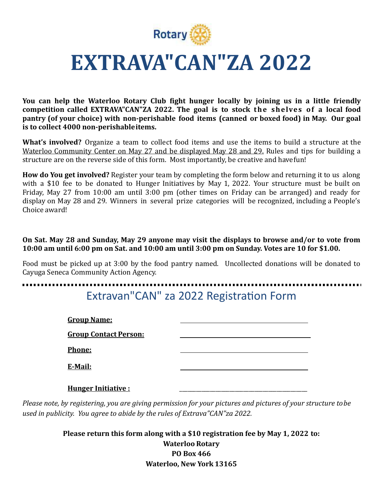

# EXTRAVA"CAN"ZA 2022

**You can help the Waterloo Rotary Club fight hunger locally by joining us in a little friendly competition called EXTRAVA"CAN"ZA 2022. The goal is to stock the shelves of a local food pantry** (of your choice) with non-perishable food items (canned or boxed food) in May. Our goal is to collect 4000 non-perishableitems.

**What's involved?** Organize a team to collect food items and use the items to build a structure at the Waterloo Community Center on May 27 and be displayed May 28 and 29. Rules and tips for building a structure are on the reverse side of this form. Most importantly, be creative and havefun!

**How do You get involved?** Register your team by completing the form below and returning it to us along with a \$10 fee to be donated to Hunger Initiatives by May 1, 2022. Your structure must be built on Friday, May 27 from 10:00 am until 3:00 pm (other times on Friday can be arranged) and ready for display on May 28 and 29. Winners in several prize categories will be recognized, including a People's Choice award! 

On Sat. May 28 and Sunday, May 29 anyone may visit the displays to browse and/or to vote from **10:00** am until 6:00 pm on Sat. and 10:00 am until 3:00 pm on Sunday. Votes are 10 for \$1.00.

Food must be picked up at 3:00 by the food pantry named. Uncollected donations will be donated to Cayuga Seneca Community Action Agency. 

#### Extravan"CAN" za 2022 Registration Form

| <b>Group Name:</b>           |  |
|------------------------------|--|
| <b>Group Contact Person:</b> |  |
| Phone:                       |  |
| E-Mail:                      |  |
| <b>Hunger Initiative:</b>    |  |

*Please note, by registering, you are giving permission for your pictures and pictures of your structure tobe* used in publicity. You agree to abide by the rules of Extrava"CAN"za 2022.

> **Please return this form along with a \$10 registration fee by May 1, 2022 to: Waterloo Rotary PO Box 466 Waterloo, New York 13165**